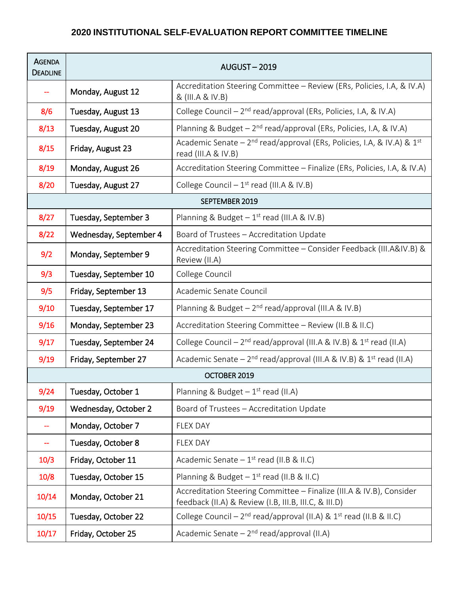## **2020 INSTITUTIONAL SELF-EVALUATION REPORT COMMITTEE TIMELINE**

| <b>AGENDA</b><br><b>DEADLINE</b> | <b>AUGUST-2019</b>     |                                                                                                                               |  |  |
|----------------------------------|------------------------|-------------------------------------------------------------------------------------------------------------------------------|--|--|
|                                  | Monday, August 12      | Accreditation Steering Committee - Review (ERs, Policies, I.A, & IV.A)<br>& (III.A & IV.B)                                    |  |  |
| 8/6                              | Tuesday, August 13     | College Council - 2 <sup>nd</sup> read/approval (ERs, Policies, I.A, & IV.A)                                                  |  |  |
| 8/13                             | Tuesday, August 20     | Planning & Budget - 2 <sup>nd</sup> read/approval (ERs, Policies, I.A, & IV.A)                                                |  |  |
| 8/15                             | Friday, August 23      | Academic Senate - 2 <sup>nd</sup> read/approval (ERs, Policies, I.A, & IV.A) & 1 <sup>st</sup><br>read (III.A & IV.B)         |  |  |
| 8/19                             | Monday, August 26      | Accreditation Steering Committee - Finalize (ERs, Policies, I.A, & IV.A)                                                      |  |  |
| 8/20                             | Tuesday, August 27     | College Council $-1^{st}$ read (III.A & IV.B)                                                                                 |  |  |
| SEPTEMBER 2019                   |                        |                                                                                                                               |  |  |
| 8/27                             | Tuesday, September 3   | Planning & Budget $-1$ <sup>st</sup> read (III.A & IV.B)                                                                      |  |  |
| 8/22                             | Wednesday, September 4 | Board of Trustees - Accreditation Update                                                                                      |  |  |
| 9/2                              | Monday, September 9    | Accreditation Steering Committee - Consider Feedback (III.A&IV.B) &<br>Review (II.A)                                          |  |  |
| 9/3                              | Tuesday, September 10  | College Council                                                                                                               |  |  |
| 9/5                              | Friday, September 13   | Academic Senate Council                                                                                                       |  |  |
| 9/10                             | Tuesday, September 17  | Planning & Budget $-2^{nd}$ read/approval (III.A & IV.B)                                                                      |  |  |
| 9/16                             | Monday, September 23   | Accreditation Steering Committee - Review (II.B & II.C)                                                                       |  |  |
| 9/17                             | Tuesday, September 24  | College Council – $2^{nd}$ read/approval (III.A & IV.B) & $1^{st}$ read (II.A)                                                |  |  |
| 9/19                             | Friday, September 27   | Academic Senate - $2^{nd}$ read/approval (III.A & IV.B) & $1^{st}$ read (II.A)                                                |  |  |
| OCTOBER 2019                     |                        |                                                                                                                               |  |  |
| 9/24                             | Tuesday, October 1     | Planning & Budget $-1$ <sup>st</sup> read (II.A)                                                                              |  |  |
| 9/19                             | Wednesday, October 2   | Board of Trustees - Accreditation Update                                                                                      |  |  |
|                                  | Monday, October 7      | <b>FLEX DAY</b>                                                                                                               |  |  |
|                                  | Tuesday, October 8     | <b>FLEX DAY</b>                                                                                                               |  |  |
| 10/3                             | Friday, October 11     | Academic Senate $-1$ <sup>st</sup> read (II.B & II.C)                                                                         |  |  |
| 10/8                             | Tuesday, October 15    | Planning & Budget $-1$ <sup>st</sup> read (II.B & II.C)                                                                       |  |  |
| 10/14                            | Monday, October 21     | Accreditation Steering Committee - Finalize (III.A & IV.B), Consider<br>feedback (II.A) & Review (I.B, III.B, III.C, & III.D) |  |  |
| 10/15                            | Tuesday, October 22    | College Council - $2^{nd}$ read/approval (II.A) & $1^{st}$ read (II.B & II.C)                                                 |  |  |
| 10/17                            | Friday, October 25     | Academic Senate $-2^{nd}$ read/approval (II.A)                                                                                |  |  |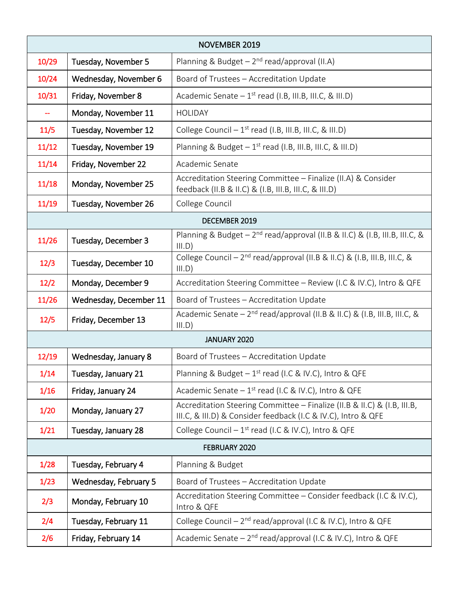| <b>NOVEMBER 2019</b> |                        |                                                                                                                                           |  |  |
|----------------------|------------------------|-------------------------------------------------------------------------------------------------------------------------------------------|--|--|
| 10/29                | Tuesday, November 5    | Planning & Budget $-2^{nd}$ read/approval (II.A)                                                                                          |  |  |
| 10/24                | Wednesday, November 6  | Board of Trustees - Accreditation Update                                                                                                  |  |  |
| 10/31                | Friday, November 8     | Academic Senate $-1^{st}$ read (I.B, III.B, III.C, & III.D)                                                                               |  |  |
|                      | Monday, November 11    | <b>HOLIDAY</b>                                                                                                                            |  |  |
| 11/5                 | Tuesday, November 12   | College Council $-1$ <sup>st</sup> read (I.B, III.B, III.C, & III.D)                                                                      |  |  |
| 11/12                | Tuesday, November 19   | Planning & Budget $-1^{st}$ read (I.B, III.B, III.C, & III.D)                                                                             |  |  |
| 11/14                | Friday, November 22    | Academic Senate                                                                                                                           |  |  |
| 11/18                | Monday, November 25    | Accreditation Steering Committee - Finalize (II.A) & Consider<br>feedback (II.B & II.C) & (I.B, III.B, III.C, & III.D)                    |  |  |
| 11/19                | Tuesday, November 26   | College Council                                                                                                                           |  |  |
| DECEMBER 2019        |                        |                                                                                                                                           |  |  |
| 11/26                | Tuesday, December 3    | Planning & Budget - 2 <sup>nd</sup> read/approval (II.B & II.C) & (I.B, III.B, III.C, &<br>III.D)                                         |  |  |
| 12/3                 | Tuesday, December 10   | College Council - 2 <sup>nd</sup> read/approval (II.B & II.C) & (I.B, III.B, III.C, &<br>III.D)                                           |  |  |
| 12/2                 | Monday, December 9     | Accreditation Steering Committee - Review (I.C & IV.C), Intro & QFE                                                                       |  |  |
| 11/26                | Wednesday, December 11 | Board of Trustees - Accreditation Update                                                                                                  |  |  |
| 12/5                 | Friday, December 13    | Academic Senate - $2^{nd}$ read/approval (II.B & II.C) & (I.B, III.B, III.C, &<br>III.D)                                                  |  |  |
|                      |                        | JANUARY 2020                                                                                                                              |  |  |
| 12/19                | Wednesday, January 8   | Board of Trustees - Accreditation Update                                                                                                  |  |  |
| 1/14                 | Tuesday, January 21    | Planning & Budget $-1^{st}$ read (I.C & IV.C), Intro & QFE                                                                                |  |  |
| 1/16                 | Friday, January 24     | Academic Senate $-1$ <sup>st</sup> read (I.C & IV.C), Intro & QFE                                                                         |  |  |
| 1/20                 | Monday, January 27     | Accreditation Steering Committee - Finalize (II.B & II.C) & (I.B, III.B,<br>III.C, & III.D) & Consider feedback (I.C & IV.C), Intro & QFE |  |  |
| 1/21                 | Tuesday, January 28    | College Council $-1$ <sup>st</sup> read (I.C & IV.C), Intro & QFE                                                                         |  |  |
| FEBRUARY 2020        |                        |                                                                                                                                           |  |  |
| 1/28                 | Tuesday, February 4    | Planning & Budget                                                                                                                         |  |  |
| 1/23                 | Wednesday, February 5  | Board of Trustees - Accreditation Update                                                                                                  |  |  |
| 2/3                  | Monday, February 10    | Accreditation Steering Committee - Consider feedback (I.C & IV.C),<br>Intro & QFE                                                         |  |  |
| 2/4                  | Tuesday, February 11   | College Council - 2 <sup>nd</sup> read/approval (I.C & IV.C), Intro & QFE                                                                 |  |  |
| 2/6                  | Friday, February 14    | Academic Senate - 2 <sup>nd</sup> read/approval (I.C & IV.C), Intro & QFE                                                                 |  |  |